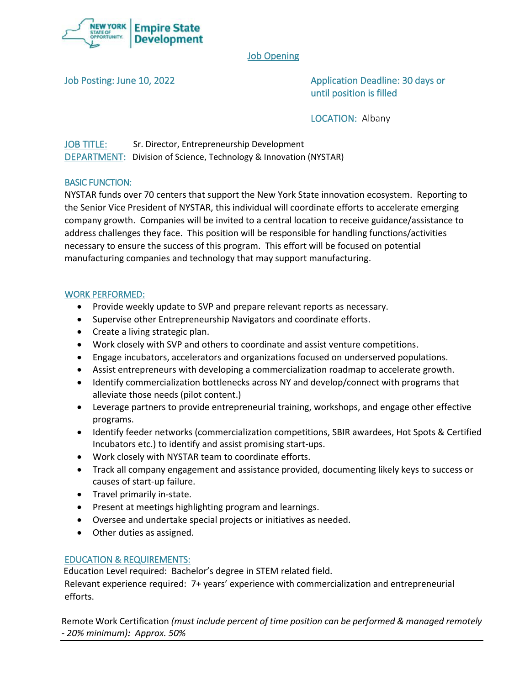

# Job Opening

Job Posting: June 10, 2022 **Application Deadline: 30 days or** until position is filled

LOCATION: Albany

JOB TITLE: Sr. Director, Entrepreneurship Development DEPARTMENT: Division of Science, Technology & Innovation (NYSTAR)

## BASIC FUNCTION:

NYSTAR funds over 70 centers that support the New York State innovation ecosystem. Reporting to the Senior Vice President of NYSTAR, this individual will coordinate efforts to accelerate emerging company growth. Companies will be invited to a central location to receive guidance/assistance to address challenges they face. This position will be responsible for handling functions/activities necessary to ensure the success of this program. This effort will be focused on potential manufacturing companies and technology that may support manufacturing.

#### WORK PERFORMED:

- Provide weekly update to SVP and prepare relevant reports as necessary.
- Supervise other Entrepreneurship Navigators and coordinate efforts.
- Create a living strategic plan.
- Work closely with SVP and others to coordinate and assist venture competitions.
- Engage incubators, accelerators and organizations focused on underserved populations.
- Assist entrepreneurs with developing a commercialization roadmap to accelerate growth.
- Identify commercialization bottlenecks across NY and develop/connect with programs that alleviate those needs (pilot content.)
- Leverage partners to provide entrepreneurial training, workshops, and engage other effective programs.
- Identify feeder networks (commercialization competitions, SBIR awardees, Hot Spots & Certified Incubators etc.) to identify and assist promising start-ups.
- Work closely with NYSTAR team to coordinate efforts.
- Track all company engagement and assistance provided, documenting likely keys to success or causes of start-up failure.
- Travel primarily in-state.
- Present at meetings highlighting program and learnings.
- Oversee and undertake special projects or initiatives as needed.
- Other duties as assigned.

## EDUCATION & REQUIREMENTS:

Education Level required: Bachelor's degree in STEM related field.

Relevant experience required: 7+ years' experience with commercialization and entrepreneurial efforts.

Remote Work Certification *(must include percent of time position can be performed & managed remotely - 20% minimum): Approx. 50%*